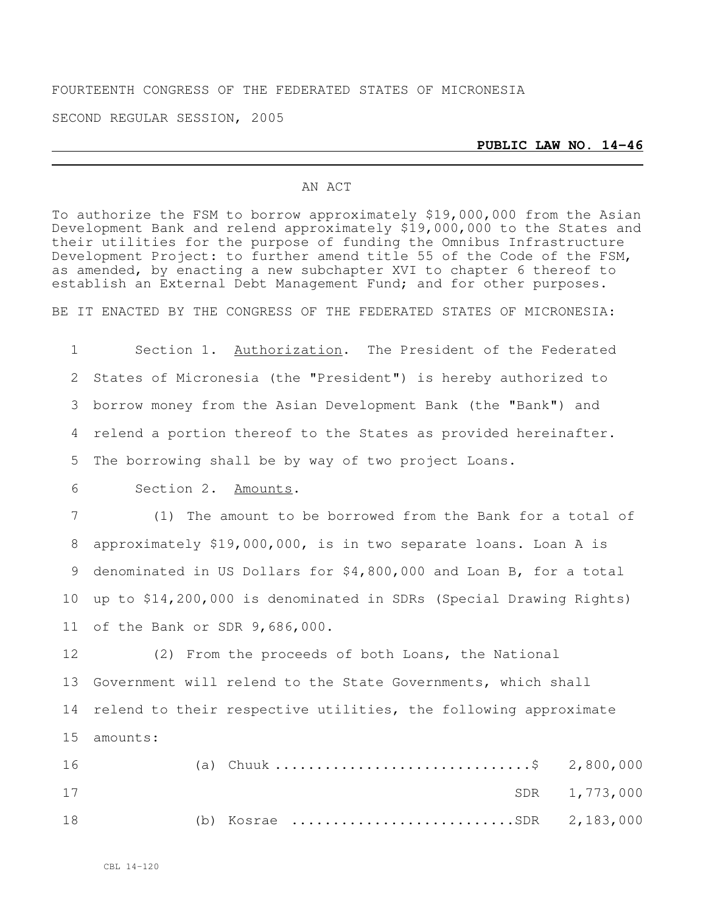# FOURTEENTH CONGRESS OF THE FEDERATED STATES OF MICRONESIA

SECOND REGULAR SESSION, 2005

#### **PUBLIC LAW NO. 14-46**

### AN ACT

To authorize the FSM to borrow approximately \$19,000,000 from the Asian Development Bank and relend approximately \$19,000,000 to the States and their utilities for the purpose of funding the Omnibus Infrastructure Development Project: to further amend title 55 of the Code of the FSM, as amended, by enacting a new subchapter XVI to chapter 6 thereof to establish an External Debt Management Fund; and for other purposes.

BE IT ENACTED BY THE CONGRESS OF THE FEDERATED STATES OF MICRONESIA:

 Section 1. Authorization. The President of the Federated States of Micronesia (the "President") is hereby authorized to borrow money from the Asian Development Bank (the "Bank") and relend a portion thereof to the States as provided hereinafter. The borrowing shall be by way of two project Loans.

6 Section 2. Amounts.

 (1) The amount to be borrowed from the Bank for a total of approximately \$19,000,000, is in two separate loans. Loan A is denominated in US Dollars for \$4,800,000 and Loan B, for a total up to \$14,200,000 is denominated in SDRs (Special Drawing Rights) of the Bank or SDR 9,686,000.

12 (2) From the proceeds of both Loans, the National 13 Government will relend to the State Governments, which shall 14 relend to their respective utilities, the following approximate 15 amounts:

| 16 |  | (a) Chuuk \$ 2,800,000     |               |
|----|--|----------------------------|---------------|
| 17 |  |                            | SDR 1,773,000 |
| 18 |  | (b) Kosrae SDR $2,183,000$ |               |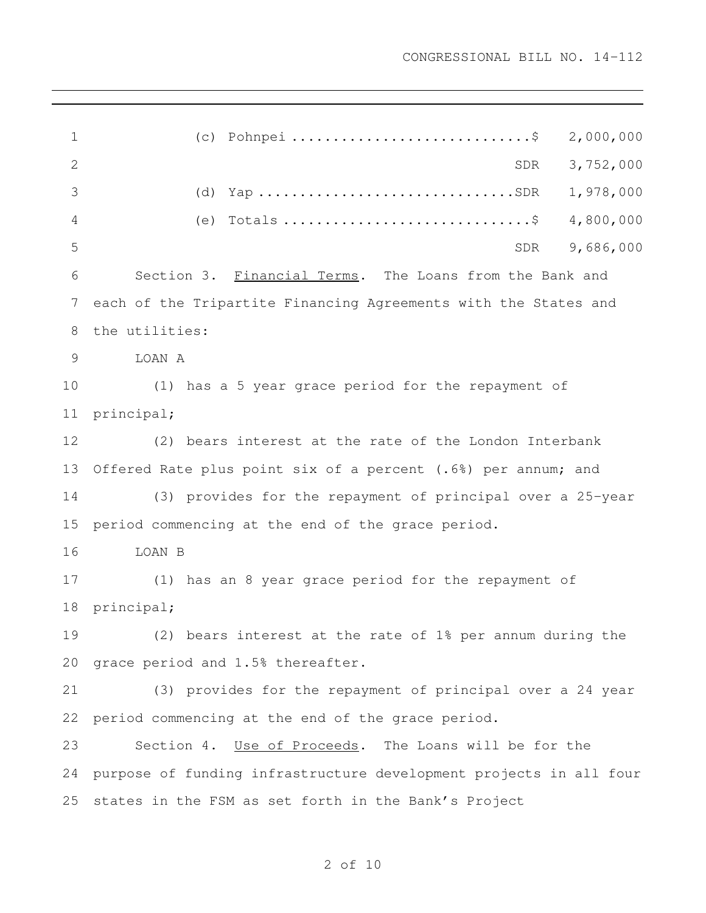(c) Pohnpei .............................\$ 2,000,000 SDR 3,752,000 3 (d) Yap ................................SDR 1,978,000 (e) Totals ..............................\$ 4,800,000 SDR 9,686,000 Section 3. Financial Terms. The Loans from the Bank and each of the Tripartite Financing Agreements with the States and the utilities: **LOAN A**  (1) has a 5 year grace period for the repayment of principal; (2) bears interest at the rate of the London Interbank Offered Rate plus point six of a percent (.6%) per annum; and (3) provides for the repayment of principal over a 25-year period commencing at the end of the grace period. LOAN B (1) has an 8 year grace period for the repayment of principal; (2) bears interest at the rate of 1% per annum during the grace period and 1.5% thereafter. (3) provides for the repayment of principal over a 24 year period commencing at the end of the grace period. 23 Section 4. Use of Proceeds. The Loans will be for the purpose of funding infrastructure development projects in all four states in the FSM as set forth in the Bank's Project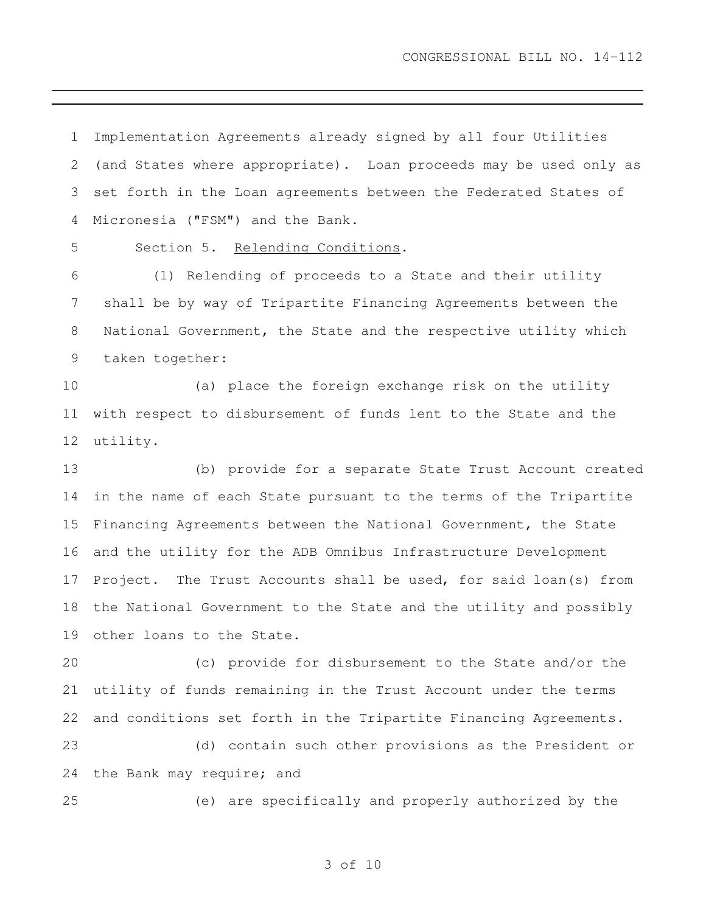Implementation Agreements already signed by all four Utilities (and States where appropriate). Loan proceeds may be used only as set forth in the Loan agreements between the Federated States of Micronesia ("FSM") and the Bank.

Section 5. Relending Conditions.

 (1) Relending of proceeds to a State and their utility shall be by way of Tripartite Financing Agreements between the National Government, the State and the respective utility which taken together:

 (a) place the foreign exchange risk on the utility with respect to disbursement of funds lent to the State and the utility.

 (b) provide for a separate State Trust Account created in the name of each State pursuant to the terms of the Tripartite Financing Agreements between the National Government, the State and the utility for the ADB Omnibus Infrastructure Development Project. The Trust Accounts shall be used, for said loan(s) from the National Government to the State and the utility and possibly other loans to the State.

 (c) provide for disbursement to the State and/or the utility of funds remaining in the Trust Account under the terms and conditions set forth in the Tripartite Financing Agreements.

 (d) contain such other provisions as the President or the Bank may require; and

(e) are specifically and properly authorized by the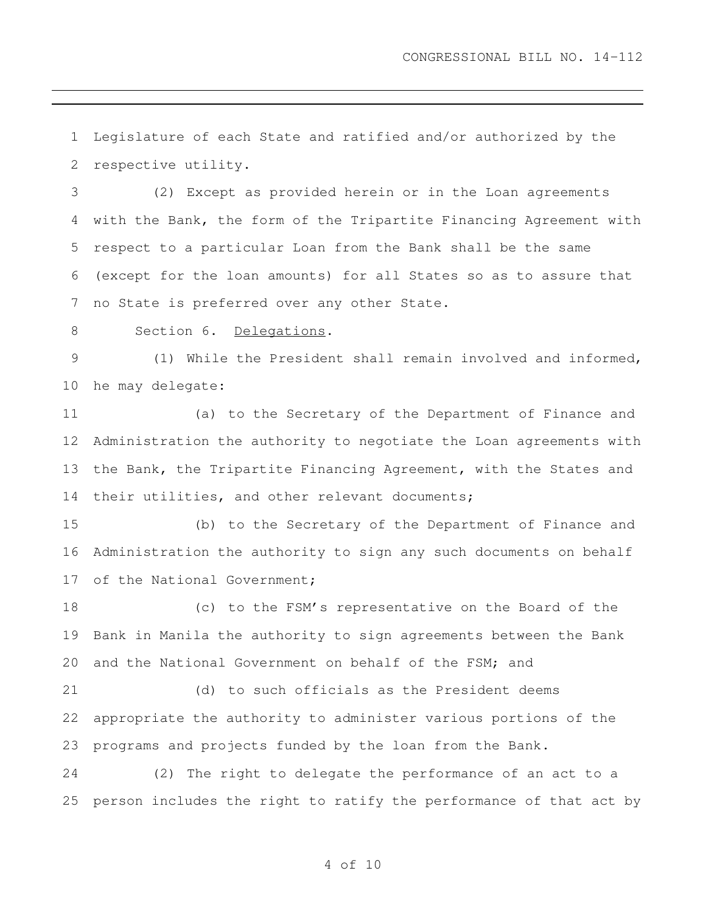Legislature of each State and ratified and/or authorized by the respective utility.

 (2) Except as provided herein or in the Loan agreements with the Bank, the form of the Tripartite Financing Agreement with respect to a particular Loan from the Bank shall be the same (except for the loan amounts) for all States so as to assure that no State is preferred over any other State.

8 Section 6. Delegations.

 (1) While the President shall remain involved and informed, he may delegate:

 (a) to the Secretary of the Department of Finance and Administration the authority to negotiate the Loan agreements with the Bank, the Tripartite Financing Agreement, with the States and their utilities, and other relevant documents;

 (b) to the Secretary of the Department of Finance and Administration the authority to sign any such documents on behalf 17 of the National Government;

 (c) to the FSM's representative on the Board of the Bank in Manila the authority to sign agreements between the Bank and the National Government on behalf of the FSM; and

 (d) to such officials as the President deems appropriate the authority to administer various portions of the programs and projects funded by the loan from the Bank.

 (2) The right to delegate the performance of an act to a person includes the right to ratify the performance of that act by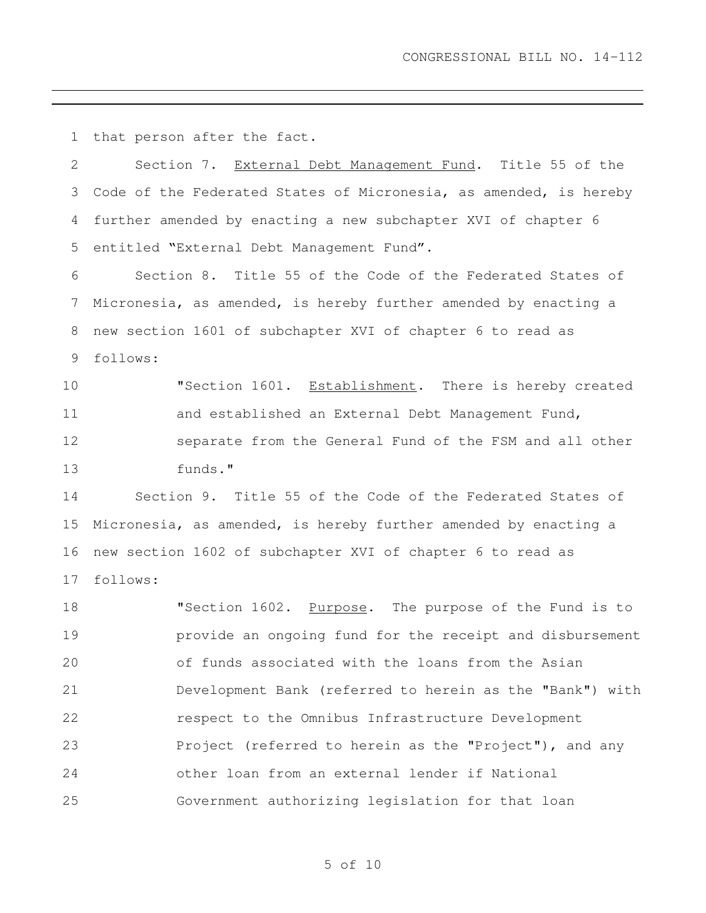that person after the fact.

| $\mathbf{2}$ | Section 7. External Debt Management Fund. Title 55 of the         |
|--------------|-------------------------------------------------------------------|
| 3            | Code of the Federated States of Micronesia, as amended, is hereby |
| 4            | further amended by enacting a new subchapter XVI of chapter 6     |
| 5            | entitled "External Debt Management Fund".                         |
| 6            | Section 8. Title 55 of the Code of the Federated States of        |
| 7            | Micronesia, as amended, is hereby further amended by enacting a   |
| 8            | new section 1601 of subchapter XVI of chapter 6 to read as        |
| 9            | follows:                                                          |
| 10           | "Section 1601. Establishment. There is hereby created             |
| 11           | and established an External Debt Management Fund,                 |
| 12           | separate from the General Fund of the FSM and all other           |
| 13           | funds."                                                           |
| 14           | Section 9. Title 55 of the Code of the Federated States of        |
| 15           | Micronesia, as amended, is hereby further amended by enacting a   |
| 16           | new section 1602 of subchapter XVI of chapter 6 to read as        |
| 17           | follows:                                                          |
| 18           | "Section 1602. Purpose. The purpose of the Fund is to             |
| 19           | provide an ongoing fund for the receipt and disbursement          |
| 20           | of funds associated with the loans from the Asian                 |
| 21           | Development Bank (referred to herein as the "Bank") with          |
| 22           | respect to the Omnibus Infrastructure Development                 |
| 23           | Project (referred to herein as the "Project"), and any            |
| 24           | other loan from an external lender if National                    |
| 25           | Government authorizing legislation for that loan                  |
|              |                                                                   |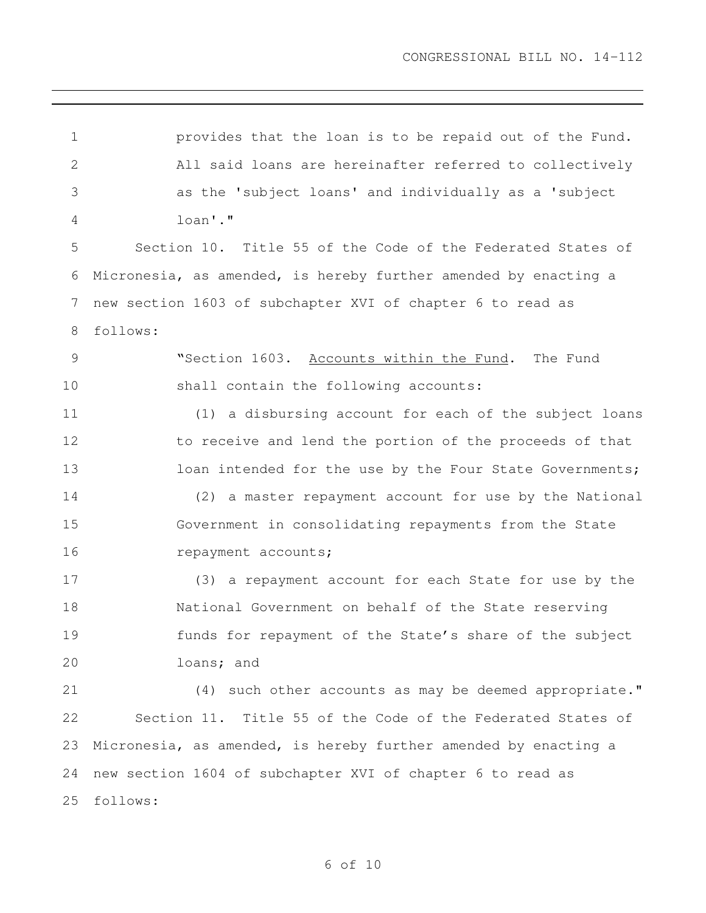provides that the loan is to be repaid out of the Fund. All said loans are hereinafter referred to collectively as the 'subject loans' and individually as a 'subject loan'." Section 10. Title 55 of the Code of the Federated States of Micronesia, as amended, is hereby further amended by enacting a new section 1603 of subchapter XVI of chapter 6 to read as follows: 9 "Section 1603. Accounts within the Fund. The Fund shall contain the following accounts: (1) a disbursing account for each of the subject loans 12 to receive and lend the portion of the proceeds of that 13 loan intended for the use by the Four State Governments; (2) a master repayment account for use by the National Government in consolidating repayments from the State 16 repayment accounts; (3) a repayment account for each State for use by the National Government on behalf of the State reserving funds for repayment of the State's share of the subject loans; and (4) such other accounts as may be deemed appropriate." Section 11. Title 55 of the Code of the Federated States of Micronesia, as amended, is hereby further amended by enacting a new section 1604 of subchapter XVI of chapter 6 to read as follows: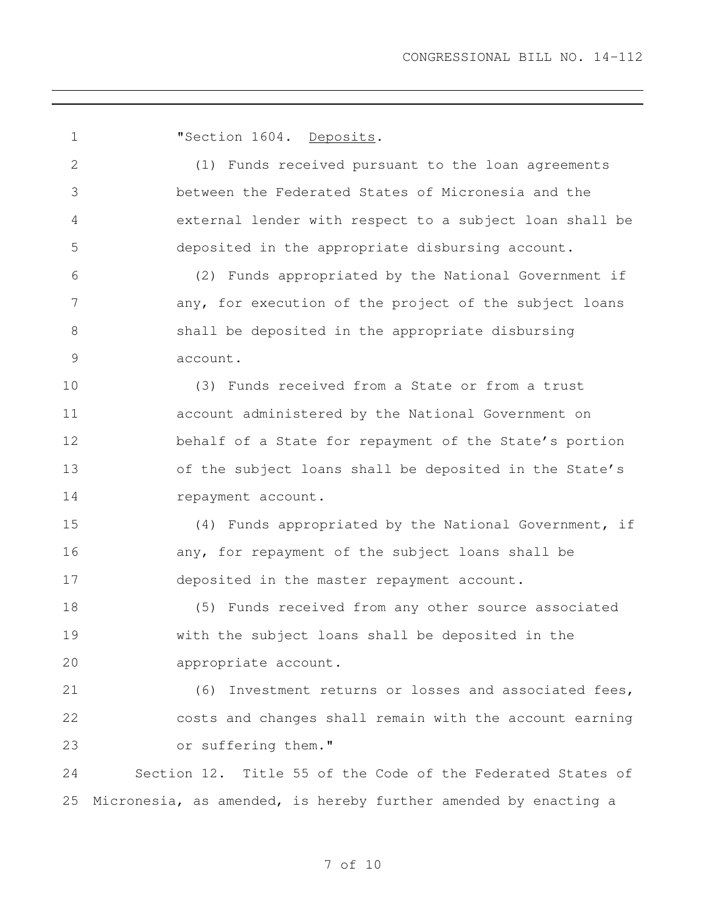**"Section 1604.** Deposits. (1) Funds received pursuant to the loan agreements between the Federated States of Micronesia and the external lender with respect to a subject loan shall be deposited in the appropriate disbursing account. (2) Funds appropriated by the National Government if 7 any, for execution of the project of the subject loans shall be deposited in the appropriate disbursing account. (3) Funds received from a State or from a trust account administered by the National Government on 12 behalf of a State for repayment of the State's portion of the subject loans shall be deposited in the State's 14 repayment account. (4) Funds appropriated by the National Government, if 16 any, for repayment of the subject loans shall be deposited in the master repayment account. (5) Funds received from any other source associated with the subject loans shall be deposited in the appropriate account. (6) Investment returns or losses and associated fees, costs and changes shall remain with the account earning or suffering them." Section 12. Title 55 of the Code of the Federated States of Micronesia, as amended, is hereby further amended by enacting a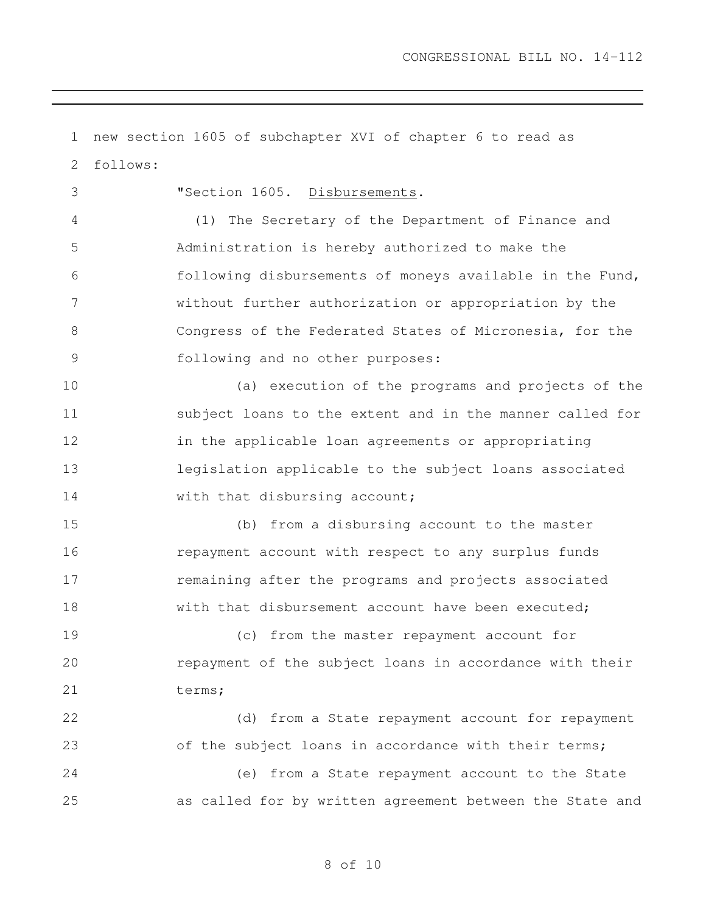new section 1605 of subchapter XVI of chapter 6 to read as follows: "Section 1605. Disbursements. (1) The Secretary of the Department of Finance and Administration is hereby authorized to make the following disbursements of moneys available in the Fund, without further authorization or appropriation by the Congress of the Federated States of Micronesia, for the following and no other purposes: (a) execution of the programs and projects of the subject loans to the extent and in the manner called for 12 in the applicable loan agreements or appropriating legislation applicable to the subject loans associated 14 with that disbursing account; (b) from a disbursing account to the master repayment account with respect to any surplus funds remaining after the programs and projects associated 18 with that disbursement account have been executed; (c) from the master repayment account for repayment of the subject loans in accordance with their 21 terms; (d) from a State repayment account for repayment 23 of the subject loans in accordance with their terms; (e) from a State repayment account to the State as called for by written agreement between the State and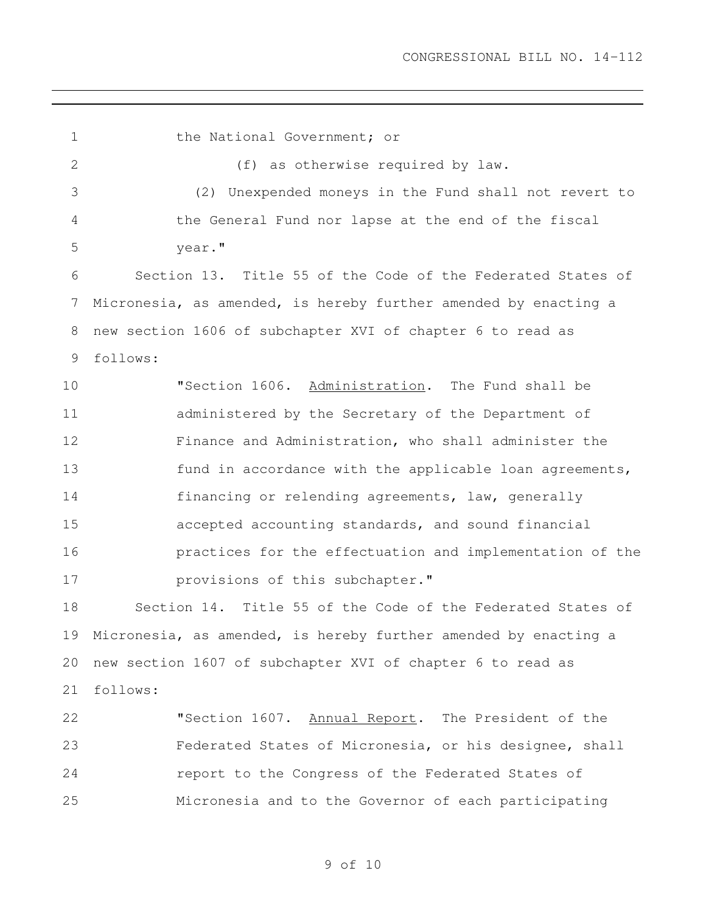1 the National Government; or (f) as otherwise required by law. (2) Unexpended moneys in the Fund shall not revert to the General Fund nor lapse at the end of the fiscal year." Section 13. Title 55 of the Code of the Federated States of Micronesia, as amended, is hereby further amended by enacting a new section 1606 of subchapter XVI of chapter 6 to read as follows: 10 TSection 1606. Administration. The Fund shall be administered by the Secretary of the Department of Finance and Administration, who shall administer the 13 fund in accordance with the applicable loan agreements, financing or relending agreements, law, generally accepted accounting standards, and sound financial practices for the effectuation and implementation of the **provisions of this subchapter.**" Section 14. Title 55 of the Code of the Federated States of Micronesia, as amended, is hereby further amended by enacting a new section 1607 of subchapter XVI of chapter 6 to read as follows: 22 "Section 1607. Annual Report. The President of the Federated States of Micronesia, or his designee, shall report to the Congress of the Federated States of Micronesia and to the Governor of each participating